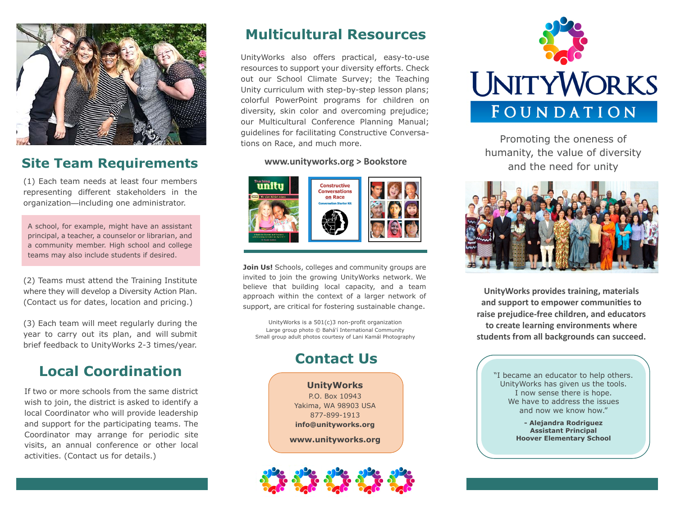

# **Site Team Requirements**

(1) Each team needs at least four members representing different stakeholders in the organization—including one administrator.

A school, for example, might have an assistant principal, a teacher, a counselor or librarian, and a community member. High school and college teams may also include students if desired.

(2) Teams must attend the Training Institute where they will develop a Diversity Action Plan. (Contact us for dates, location and pricing.)

(3) Each team will meet regularly during the year to carry out its plan, and will submit brief feedback to UnityWorks 2-3 times/year.

# **Local Coordination**

If two or more schools from the same district wish to join, the district is asked to identify a local Coordinator who will provide leadership and support for the participating teams. The Coordinator may arrange for periodic site visits, an annual conference or other local activities. (Contact us for details.)

# **Multicultural Resources**

UnityWorks also offers practical, easy-to-use resources to support your diversity efforts. Check out our School Climate Survey; the Teaching Unity curriculum with step-by-step lesson plans; colorful PowerPoint programs for children on diversity, skin color and overcoming prejudice; our Multicultural Conference Planning Manual; guidelines for facilitating Constructive Conversations on Race, and much more.

#### **www.unityworks.org > Bookstore**



**Join Us!** Schools, colleges and community groups are invited to join the growing UnityWorks network. We believe that building local capacity, and a team approach within the context of a larger network of support, are critical for fostering sustainable change.

UnityWorks is a 501(c)3 non-profit organization Large group photo © Bahá'í International Community Small group adult photos courtesy of Lani Kamál Photography

# **Contact Us**

**UnityWorks** P.O. Box 10943 Yakima, WA 98903 USA 877-899-1913 **info@unityworks.org** 

**www.unityworks.org** 





Promoting the oneness of humanity, the value of diversity and the need for unity



**UnityWorks provides training, materials and support to empower communiƟes to raise prejudice-free children, and educators to create learning environments where students from all backgrounds can succeed.** 

> "I became an educator to help others. UnityWorks has given us the tools. I now sense there is hope. We have to address the issues and now we know how."

> > **- Alejandra Rodriguez Assistant Principal Hoover Elementary School**